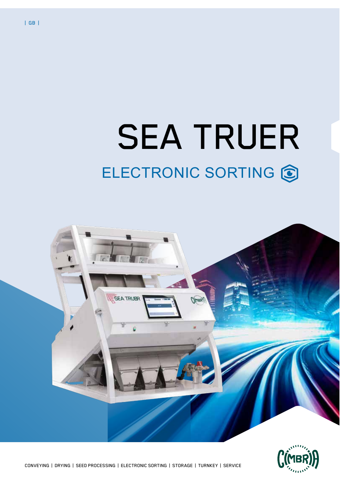# SEA TRUER ELECTRONIC SORTING C



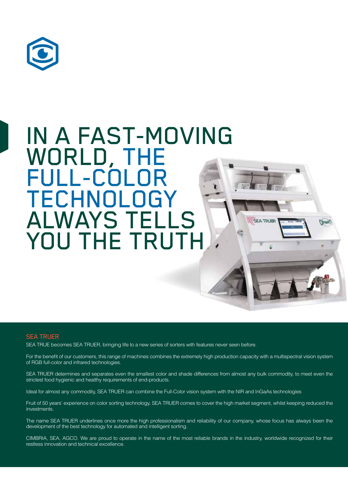

# IN A FAST-MOVING WORLD, THE FULL-COLOR TECHNOLOGY ALWAYS TELLS **SEATRUB** YOU THE TRUTH

#### SEA TRUER

SEA TRUE becomes SEA TRUER, bringing life to a new series of sorters with features never seen before.

For the benefit of our customers, this range of machines combines the extremely high production capacity with a multispectral vision system of RGB full-color and infrared technologies.

SEA TRUER determines and separates even the smallest color and shade differences from almost any bulk commodity, to meet even the strictest food hygienic and healthy requirements of end-products.

Ideal for almost any commodity, SEA TRUER can combine the Full-Color vision system with the NIR and InGaAs technologies

Fruit of 50 years' experience on color sorting technology, SEA TRUER comes to cover the high market segment, whilst keeping reduced the investments.

The name SEA TRUER underlines once more the high professionalism and reliability of our company, whose focus has always been the development of the best technology for automated and intelligent sorting.

CIMBRIA, SEA, AGCO. We are proud to operate in the name of the most reliable brands in the industry, worldwide recognized for their restless innovation and technical excellence.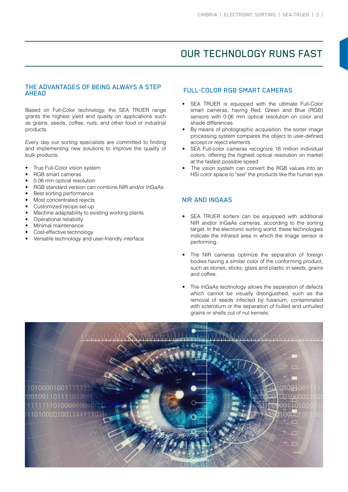### OUR TECHNOLOGY RUNS FAST

#### THE ADVANTAGES OF BEING ALWAYS A STEP AHEAD

Based on Full-Color technology, the SEA TRUER range grants the highest yield and quality on applications such as grains, seeds, coffee, nuts, and other food or industrial products.

Every day our sorting specialists are committed to finding and implementing new solutions to improve the quality of bulk products.

- True Full-Color vision system
- RGB smart cameras
- 0.06 mm optical resolution
- RGB standard version can combine NIR and/or InGaAs
- Best sorting performance
- Most concentrated rejects
- Customized recipe set-up
- Machine adaptability to existing working plants
- Operational reliability
- Minimal maintenance
- Cost-effective technology
- Versatile technology and user-friendly interface

#### FULL-COLOR RGB SMART CAMERAS

- SEA TRUER is equipped with the ultimate Full-Color smart cameras, having Red, Green and Blue (RGB) sensors with 0.06 mm optical resolution on color and shade differences
- By means of photographic acquisition, the sorter image processing system compares the object to user-defined accept or reject elements
- SEA Full-color cameras recognize 16 million individual colors, offering the highest optical resolution on market at the fastest possible speed
- The vision system can convert the RGB values into an HSI color space to "see" the products like the human eye

#### NIR AND INGAAS

- SEA TRUER sorters can be equipped with additional NIR and/or InGaAs cameras, according to the sorting target. In the electronic sorting world, these technologies indicate the infrared area in which the image sensor is performing.
- The NIR cameras optimize the separation of foreign bodies having a similar color of the conforming product, such as stones, sticks, glass and plastic in seeds, grains and coffee.
- The InGaAs technology allows the separation of defects which cannot be visually distinguished, such as the removal of seeds infected by fusarium, contaminated with sclerotium or the separation of hulled and unhulled grains or shells out of nut kernels.

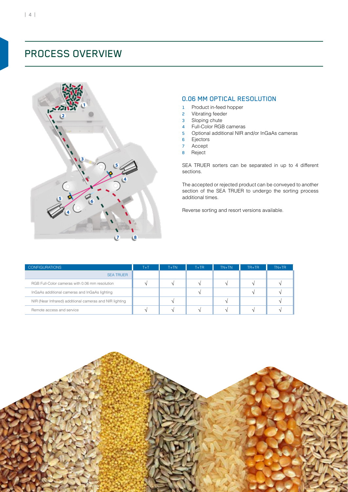

#### 0.06 MM OPTICAL RESOLUTION

- 1 Product in-feed hopper
- 2 Vibrating feeder
- 3 Sloping chute
- 4 Full-Color RGB cameras
- 5 Optional additional NIR and/or InGaAs cameras
- 6 Ejectors
- 7 Accept
- 8 Reject

SEA TRUER sorters can be separated in up to 4 different sections.

The accepted or rejected product can be conveyed to another section of the SEA TRUER to undergo the sorting process additional times.

Reverse sorting and resort versions available.

| <b>CONFIGURATIONS</b>                                   | $T+T$ | $T+TN$ | $T + TR$ | $TN+TN$ | $TR+TR$ | $TN+TR$ |
|---------------------------------------------------------|-------|--------|----------|---------|---------|---------|
| <b>SEA TRUER</b>                                        |       |        |          |         |         |         |
| RGB Full-Color cameras with 0.06 mm resolution          |       |        | $\Delta$ |         |         |         |
| InGaAs additional cameras and InGaAs lighting           |       |        | $\Delta$ |         |         |         |
| NIR (Near Infrared) additional cameras and NIR lighting |       |        |          |         |         |         |
| Remote access and service                               |       |        |          |         |         |         |

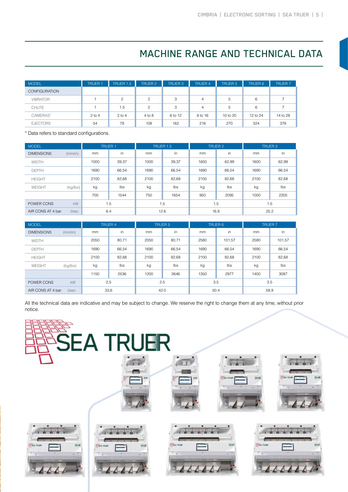# MACHINE RANGE AND TECHNICAL DATA

| <b>MODEL</b>         | <b>TRUER 1</b> | TRUER 1.5 | TRUER 2        | <b>TRUER 3</b> | <b>TRUER 4</b> | <b>TRUER 5</b> | <b>TRUER 6</b> | <b>TRUER 7</b> |
|----------------------|----------------|-----------|----------------|----------------|----------------|----------------|----------------|----------------|
| <b>CONFIGURATION</b> |                |           |                |                |                |                |                |                |
| <b>VIBRATOR</b>      |                | 2         | $\overline{c}$ | 3              | 4              | 5              | 6              |                |
| <b>CHUTE</b>         |                | 1.5       | $\overline{c}$ | 3              | $\overline{4}$ | 5              | 6              |                |
| CAMERAS*             | $2$ to 4       | $2$ to 4  | 4 to 8         | 6 to 12        | 8 to 16        | 10 to 20       | 12 to 24       | 14 to 28       |
| <b>EJECTORS</b>      | 54             | 78        | 108            | 162            | 216            | 270            | 324            | 378            |

\* Data refers to standard configurations.

| <b>MODEL</b>      |           | <b>TRUER 1</b> |            | TRUER 1.5 |       | <b>TRUER 2</b> |       | <b>TRUER 3</b> |       |
|-------------------|-----------|----------------|------------|-----------|-------|----------------|-------|----------------|-------|
| <b>DIMENSIONS</b> | (mm/in)   | mm             | in         | mm        | in    | mm             | in    | mm             | in    |
| <b>WIDTH</b>      |           | 1000           | 39,37      | 1000      | 39,37 | 1600           | 62,99 | 1600           | 62,99 |
| <b>DEPTH</b>      |           | 1690           | 66.54      | 1690      | 66,54 | 1690           | 66,54 | 1690           | 66,54 |
| <b>HEIGHT</b>     |           | 2100           | 82,68      | 2100      | 82,68 | 2100           | 82,68 | 2100           | 82,68 |
| WEIGHT            | (kg/lbs)  | kg             | <b>lbs</b> | kg        | Ibs   | kg             | lbs   | kg             | Ibs   |
|                   |           | 700            | 1544       | 750       | 1654  | 950            | 2095  | 1000           | 2205  |
| POWER CONS        | <b>kW</b> | 1.5            |            | 1.5       |       | 1.5            |       | 1.5            |       |
| AIR CONS AT 4 bar | I/sec     | 8.4            |            | 12.6      |       | 16.8           |       | 25.2           |       |

| <b>MODEL</b>                       |          | <b>TRUER 4</b> |            | <b>TRUER 5</b> |       | <b>TRUER 6</b> |        | <b>TRUER 7</b> |        |
|------------------------------------|----------|----------------|------------|----------------|-------|----------------|--------|----------------|--------|
| <b>DIMENSIONS</b>                  | (mm/in)  | mm             | in         | mm             | in    | mm             | in     | mm             | in     |
| <b>WIDTH</b>                       |          | 2050           | 80,71      | 2050           | 80,71 | 2580           | 101,57 | 2580           | 101,57 |
| <b>DEPTH</b>                       |          | 1690           | 66,54      | 1690           | 66,54 | 1690           | 66,54  | 1690           | 66,54  |
| <b>HEIGHT</b>                      |          | 2100           | 82,68      | 2100           | 82,68 | 2100           | 82,68  | 2100           | 82,68  |
| WEIGHT                             | (kg/lbs) | kg             | <b>lbs</b> | kg             | lbs   | kg             | lbs    | kg             | Ibs    |
|                                    |          | 1150           | 2536       | 1200           | 2646  | 1350           | 2977   | 1400           | 3087   |
| POWER CONS                         | kW       | 2,5            |            | 2.5            |       | 3.5            |        | 3.5            |        |
| 33,6<br>AIR CONS AT 4 bar<br>I/sec |          |                | 42.0       |                | 50.4  |                | 58.8   |                |        |

All the technical data are indicative and may be subject to change. We reserve the right to change them at any time, without prior notice.

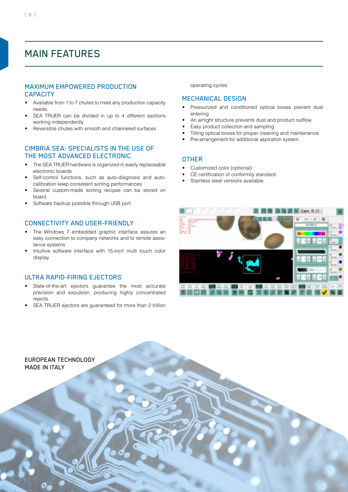### MAIN FEATURES

#### MAXIMUM EMPOWERED PRODUCTION **CAPACITY**

- Available from 1 to 7 chutes to meet any production capacity needs.
- SEA TRUER can be divided in up to 4 different sections working independently
- Reversible chutes with smooth and channeled surfaces

#### CIMBRIA SEA: SPECIALISTS IN THE USE OF THE MOST ADVANCED ELECTRONIC

- The SEA TRUER hardware is organized in easily replaceable electronic boards
- Self-control functions, such as auto-diagnosis and autocalibration keep consistent sorting performances
- Several custom-made sorting recipes can be stored on board
- Software backup possible through USB port

#### CONNECTIVITY AND USER-FRIENDLY

- The Windows 7 embedded graphic interface assures an easy connection to company networks and to remote assistance systems
- Intuitive software interface with 15-inch multi touch color display

#### ULTRA RAPID-FIRING EJECTORS

- State-of-the-art ejectors guarantee the most accurate precision and expulsion, producing highly concentrated rejects.
- SEA TRUER ejectors are guaranteed for more than 2 billion

operating cycles

#### MECHANICAL DESIGN

- Pressurized and conditioned optical boxes prevent dust entering
- An airtight structure prevents dust and product outflow
- Easy product collection and sampling
- Tilting optical boxes for proper cleaning and maintenance
- Pre-arrangement for additional aspiration system

#### **OTHER**

- Customized color (optional)
- CE certification of conformity standard
- Stainless steel versions available



EUROPEAN TECHNOLOGY MADE IN ITALY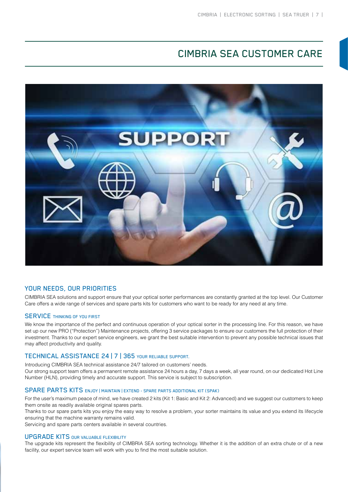## CIMBRIA SEA CUSTOMER CARE



#### YOUR NEEDS, OUR PRIORITIES

CIMBRIA SEA solutions and support ensure that your optical sorter performances are constantly granted at the top level. Our Customer Care offers a wide range of services and spare parts kits for customers who want to be ready for any need at any time.

#### **SERVICE THINKING OF YOU FIRST**

We know the importance of the perfect and continuous operation of your optical sorter in the processing line. For this reason, we have set up our new PRO ("Protection") Maintenance projects, offering 3 service packages to ensure our customers the full protection of their investment. Thanks to our expert service engineers, we grant the best suitable intervention to prevent any possible technical issues that may affect productivity and quality.

#### TECHNICAL ASSISTANCE 24 | 7 | 365 YOUR RELIABLE SUPPORT.

Introducing CIMBRIA SEA technical assistance 24/7 tailored on customers' needs.

Our strong support team offers a permanent remote assistance 24 hours a day, 7 days a week, all year round, on our dedicated Hot Line Number (HLN), providing timely and accurate support. This service is subject to subscription.

#### SPARE PARTS KITS ENJOY | MAINTAIN | EXTEND - SPARE PARTS ADDITIONAL KIT (SPAK)

For the user's maximum peace of mind, we have created 2 kits (Kit 1: Basic and Kit 2: Advanced) and we suggest our customers to keep them onsite as readily available original spares parts.

Thanks to our spare parts kits you enjoy the easy way to resolve a problem, your sorter maintains its value and you extend its lifecycle ensuring that the machine warranty remains valid.

Servicing and spare parts centers available in several countries.

#### UPGRADE KITS OUR VALUABLE FLEXIBILITY

The upgrade kits represent the flexibility of CIMBRIA SEA sorting technology. Whether it is the addition of an extra chute or of a new facility, our expert service team will work with you to find the most suitable solution.